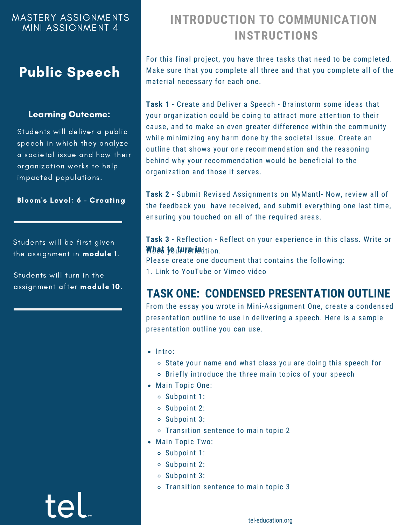#### MASTERY ASSIGNMENTS MINI ASSIGNMENT 4

# Public Speech

#### Learning Outcome:

Students will deliver a public speech in which they analyze a societal issue and how their organization works to help impacted populations.

#### Bloom's Level: 6 - Creating

Students will be first given the assignment in **module 1**.

Students will turn in the assignment after module 10.

## **INTRODUCTION TO COMMUNICATION INSTRUCTIONS**

For this final project, you have three tasks that need to be completed. Make sure that you complete all three and that you complete all of the material necessary for each one.

**Task 1** - Create and Deliver a Speech - Brainstorm some ideas that your organization could be doing to attract more attention to their cause, and to make an even greater difference within the community while minimizing any harm done by the societal issue. Create an outline that shows your one recommendation and the reasoning behind why your recommendation would be beneficial to the organization and those it serves.

**Task 2** - Submit Revised Assignments on MyMantl- Now, review all of the feedback you have received, and submit everything one last time, ensuring you touched on all of the required areas.

**Task 3** - Reflection - Reflect on your experience in this class. Write or v**W**id**h**e**a**o your reflection. **t to turn in:**

Please create one document that contains the following: 1. Link to YouTube or Vimeo video

## **TASK ONE: CONDENSED PRESENTATION OUTLINE**

From the essay you wrote in Mini-Assignment One, create a condensed presentation outline to use in delivering a speech. Here is a sample presentation outline you can use.

- Intro:
	- State your name and what class you are doing this speech for
	- Briefly introduce the three main topics of your speech
- Main Topic One:
	- Subpoint 1:
	- o Subpoint 2:
	- Subpoint 3:
	- Transition sentence to main topic 2
- Main Topic Two:
	- Subpoint 1:
	- Subpoint 2:
	- Subpoint 3:
	- Transition sentence to main topic 3

te

tel-education.org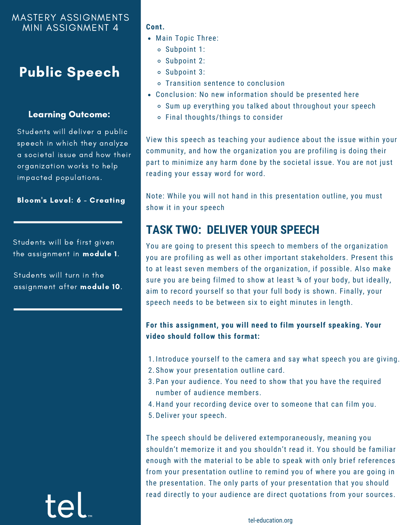#### MASTERY ASSIGNMENTS MINI ASSIGNMENT 4

# Public Speech

#### Learning Outcome:

Students will deliver a public speech in which they analyze a societal issue and how their organization works to help impacted populations.

#### Bloom's Level: 6 - Creating

Students will be first given the assignment in **module 1**.

Students will turn in the assignment after module 10.

#### **Cont.**

- Main Topic Three:
	- Subpoint 1:
	- Subpoint 2:
	- Subpoint 3:
	- Transition sentence to conclusion
- Conclusion: No new information should be presented here Sum up everything you talked about throughout your speech
	- Final thoughts/things to consider

View this speech as teaching your audience about the issue within your community, and how the organization you are profiling is doing their part to minimize any harm done by the societal issue. You are not just reading your essay word for word.

Note: While you will not hand in this presentation outline, you must show it in your speech

### **TASK TWO: DELIVER YOUR SPEECH**

You are going to present this speech to members of the organization you are profiling as well as other important stakeholders. Present this to at least seven members of the organization, if possible. Also make sure you are being filmed to show at least ¾ of your body, but ideally, aim to record yourself so that your full body is shown. Finally, your speech needs to be between six to eight minutes in length.

#### **For this assignment, you will need to film yourself speaking. Your video should follow this format:**

- Introduce yourself to the camera and say what speech you are giving. 1.
- 2. Show your presentation outline card.
- Pan your audience. You need to show that you have the required 3. number of audience members.
- Hand your recording device over to someone that can film you. 4.
- 5. Deliver your speech.

The speech should be delivered extemporaneously, meaning you shouldn't memorize it and you shouldn't read it. You should be familiar enough with the material to be able to speak with only brief references from your presentation outline to remind you of where you are going in the presentation. The only parts of your presentation that you should read directly to your audience are direct quotations from your sources.